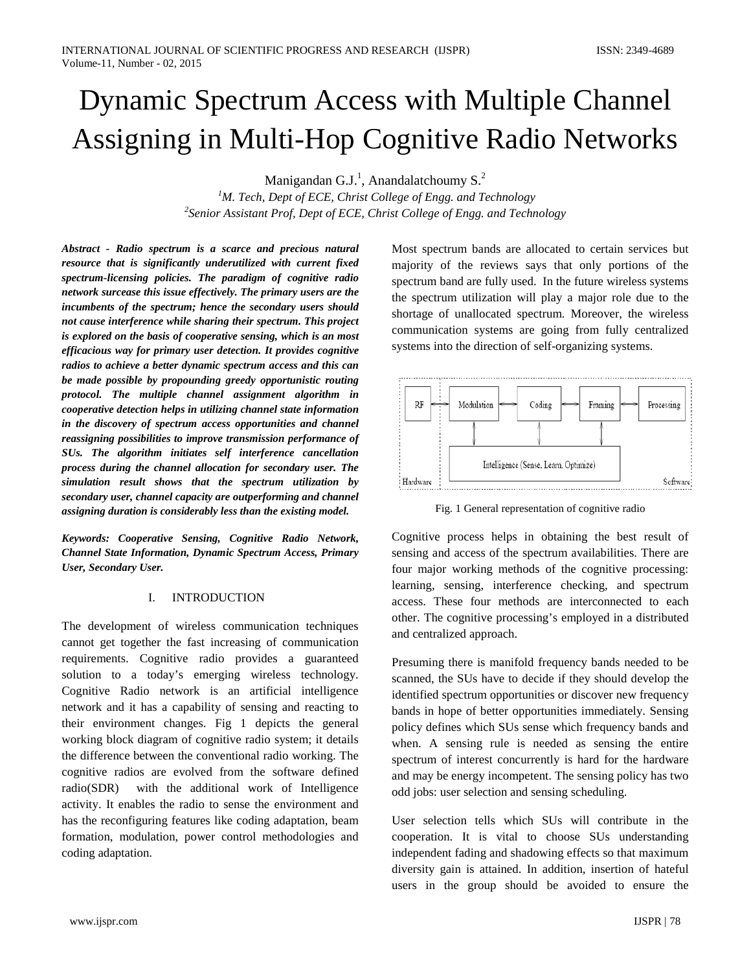# Dynamic Spectrum Access with Multiple Channel Assigning in Multi-Hop Cognitive Radio Networks

Manigandan G.J.<sup>1</sup>, Anandalatchoumy S.<sup>2</sup>

*1 M. Tech, Dept of ECE, Christ College of Engg. and Technology 2 Senior Assistant Prof, Dept of ECE, Christ College of Engg. and Technology*

*Abstract - Radio spectrum is a scarce and precious natural resource that is significantly underutilized with current fixed spectrum-licensing policies. The paradigm of cognitive radio network surcease this issue effectively. The primary users are the incumbents of the spectrum; hence the secondary users should not cause interference while sharing their spectrum. This project is explored on the basis of cooperative sensing, which is an most efficacious way for primary user detection. It provides cognitive radios to achieve a better dynamic spectrum access and this can be made possible by propounding greedy opportunistic routing protocol. The multiple channel assignment algorithm in cooperative detection helps in utilizing channel state information in the discovery of spectrum access opportunities and channel reassigning possibilities to improve transmission performance of SUs. The algorithm initiates self interference cancellation process during the channel allocation for secondary user. The simulation result shows that the spectrum utilization by secondary user, channel capacity are outperforming and channel assigning duration is considerably less than the existing model.*

*Keywords: Cooperative Sensing, Cognitive Radio Network, Channel State Information, Dynamic Spectrum Access, Primary User, Secondary User.*

## I. INTRODUCTION

The development of wireless communication techniques cannot get together the fast increasing of communication requirements. Cognitive radio provides a guaranteed solution to a today's emerging wireless technology. Cognitive Radio network is an artificial intelligence network and it has a capability of sensing and reacting to their environment changes. Fig 1 depicts the general working block diagram of cognitive radio system; it details the difference between the conventional radio working. The cognitive radios are evolved from the software defined radio(SDR) with the additional work of Intelligence activity. It enables the radio to sense the environment and has the reconfiguring features like coding adaptation, beam formation, modulation, power control methodologies and coding adaptation.

Most spectrum bands are allocated to certain services but majority of the reviews says that only portions of the spectrum band are fully used. In the future wireless systems the spectrum utilization will play a major role due to the shortage of unallocated spectrum. Moreover, the wireless communication systems are going from fully centralized systems into the direction of self-organizing systems.



Fig. 1 General representation of cognitive radio

Cognitive process helps in obtaining the best result of sensing and access of the spectrum availabilities. There are four major working methods of the cognitive processing: learning, sensing, interference checking, and spectrum access. These four methods are interconnected to each other. The cognitive processing's employed in a distributed and centralized approach.

Presuming there is manifold frequency bands needed to be scanned, the SUs have to decide if they should develop the identified spectrum opportunities or discover new frequency bands in hope of better opportunities immediately. Sensing policy defines which SUs sense which frequency bands and when. A sensing rule is needed as sensing the entire spectrum of interest concurrently is hard for the hardware and may be energy incompetent. The sensing policy has two odd jobs: user selection and sensing scheduling.

User selection tells which SUs will contribute in the cooperation. It is vital to choose SUs understanding independent fading and shadowing effects so that maximum diversity gain is attained. In addition, insertion of hateful users in the group should be avoided to ensure the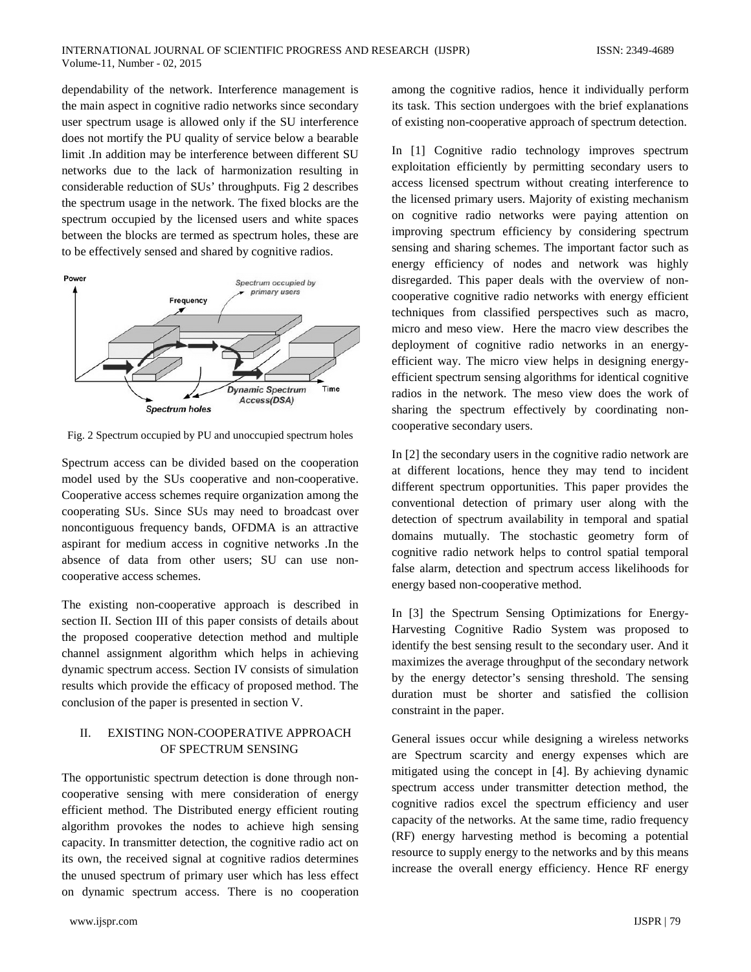dependability of the network. Interference management is the main aspect in cognitive radio networks since secondary user spectrum usage is allowed only if the SU interference does not mortify the PU quality of service below a bearable limit .In addition may be interference between different SU networks due to the lack of harmonization resulting in considerable reduction of SUs' throughputs. Fig 2 describes the spectrum usage in the network. The fixed blocks are the spectrum occupied by the licensed users and white spaces between the blocks are termed as spectrum holes, these are to be effectively sensed and shared by cognitive radios.



Fig. 2 Spectrum occupied by PU and unoccupied spectrum holes

Spectrum access can be divided based on the cooperation model used by the SUs cooperative and non-cooperative. Cooperative access schemes require organization among the cooperating SUs. Since SUs may need to broadcast over noncontiguous frequency bands, OFDMA is an attractive aspirant for medium access in cognitive networks .In the absence of data from other users; SU can use noncooperative access schemes.

The existing non-cooperative approach is described in section II. Section III of this paper consists of details about the proposed cooperative detection method and multiple channel assignment algorithm which helps in achieving dynamic spectrum access. Section IV consists of simulation results which provide the efficacy of proposed method. The conclusion of the paper is presented in section V.

# II. EXISTING NON-COOPERATIVE APPROACH OF SPECTRUM SENSING

The opportunistic spectrum detection is done through noncooperative sensing with mere consideration of energy efficient method. The Distributed energy efficient routing algorithm provokes the nodes to achieve high sensing capacity. In transmitter detection, the cognitive radio act on its own, the received signal at cognitive radios determines the unused spectrum of primary user which has less effect on dynamic spectrum access. There is no cooperation among the cognitive radios, hence it individually perform its task. This section undergoes with the brief explanations of existing non-cooperative approach of spectrum detection.

In [1] Cognitive radio technology improves spectrum exploitation efficiently by permitting secondary users to access licensed spectrum without creating interference to the licensed primary users. Majority of existing mechanism on cognitive radio networks were paying attention on improving spectrum efficiency by considering spectrum sensing and sharing schemes. The important factor such as energy efficiency of nodes and network was highly disregarded. This paper deals with the overview of noncooperative cognitive radio networks with energy efficient techniques from classified perspectives such as macro, micro and meso view. Here the macro view describes the deployment of cognitive radio networks in an energyefficient way. The micro view helps in designing energyefficient spectrum sensing algorithms for identical cognitive radios in the network. The meso view does the work of sharing the spectrum effectively by coordinating noncooperative secondary users.

In [2] the secondary users in the cognitive radio network are at different locations, hence they may tend to incident different spectrum opportunities. This paper provides the conventional detection of primary user along with the detection of spectrum availability in temporal and spatial domains mutually. The stochastic geometry form of cognitive radio network helps to control spatial temporal false alarm, detection and spectrum access likelihoods for energy based non-cooperative method.

In [3] the Spectrum Sensing Optimizations for Energy-Harvesting Cognitive Radio System was proposed to identify the best sensing result to the secondary user. And it maximizes the average throughput of the secondary network by the energy detector's sensing threshold. The sensing duration must be shorter and satisfied the collision constraint in the paper.

General issues occur while designing a wireless networks are Spectrum scarcity and energy expenses which are mitigated using the concept in [4]. By achieving dynamic spectrum access under transmitter detection method, the cognitive radios excel the spectrum efficiency and user capacity of the networks. At the same time, radio frequency (RF) energy harvesting method is becoming a potential resource to supply energy to the networks and by this means increase the overall energy efficiency. Hence RF energy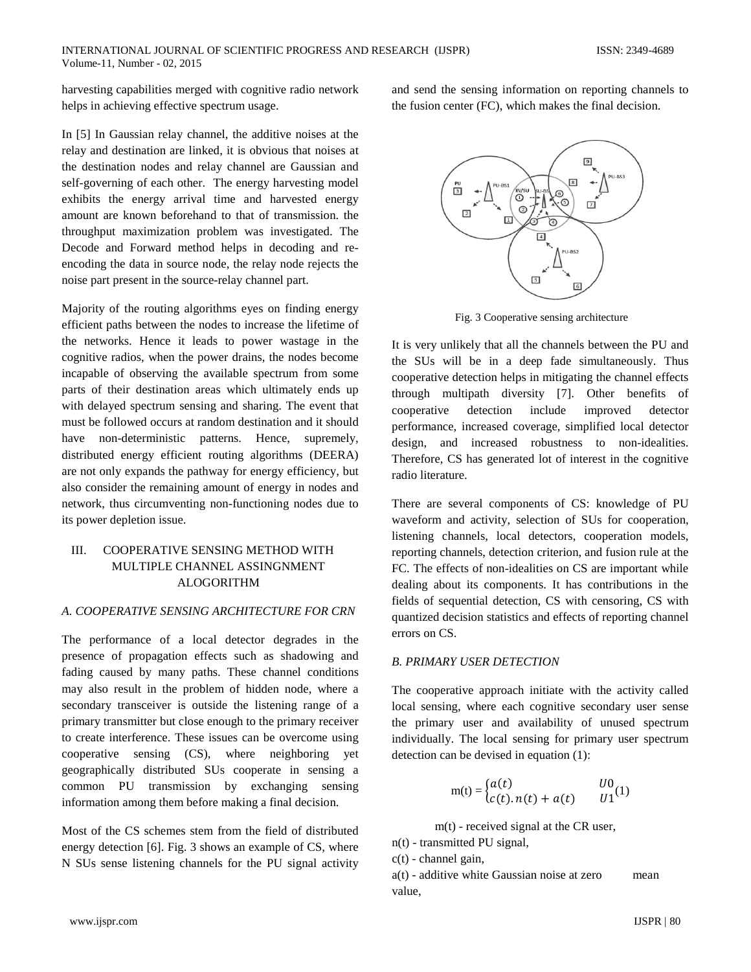harvesting capabilities merged with cognitive radio network helps in achieving effective spectrum usage.

In [5] In Gaussian relay channel, the additive noises at the relay and destination are linked, it is obvious that noises at the destination nodes and relay channel are Gaussian and self-governing of each other. The energy harvesting model exhibits the energy arrival time and harvested energy amount are known beforehand to that of transmission. the throughput maximization problem was investigated. The Decode and Forward method helps in decoding and reencoding the data in source node, the relay node rejects the noise part present in the source-relay channel part.

Majority of the routing algorithms eyes on finding energy efficient paths between the nodes to increase the lifetime of the networks. Hence it leads to power wastage in the cognitive radios, when the power drains, the nodes become incapable of observing the available spectrum from some parts of their destination areas which ultimately ends up with delayed spectrum sensing and sharing. The event that must be followed occurs at random destination and it should have non-deterministic patterns. Hence, supremely, distributed energy efficient routing algorithms (DEERA) are not only expands the pathway for energy efficiency, but also consider the remaining amount of energy in nodes and network, thus circumventing non-functioning nodes due to its power depletion issue.

# III. COOPERATIVE SENSING METHOD WITH MULTIPLE CHANNEL ASSINGNMENT ALOGORITHM

## *A. COOPERATIVE SENSING ARCHITECTURE FOR CRN*

The performance of a local detector degrades in the presence of propagation effects such as shadowing and fading caused by many paths. These channel conditions may also result in the problem of hidden node, where a secondary transceiver is outside the listening range of a primary transmitter but close enough to the primary receiver to create interference. These issues can be overcome using cooperative sensing (CS), where neighboring yet geographically distributed SUs cooperate in sensing a common PU transmission by exchanging sensing information among them before making a final decision.

Most of the CS schemes stem from the field of distributed energy detection [6]. Fig. 3 shows an example of CS, where N SUs sense listening channels for the PU signal activity and send the sensing information on reporting channels to the fusion center (FC), which makes the final decision.



Fig. 3 Cooperative sensing architecture

It is very unlikely that all the channels between the PU and the SUs will be in a deep fade simultaneously. Thus cooperative detection helps in mitigating the channel effects through multipath diversity [7]. Other benefits of cooperative detection include improved detector performance, increased coverage, simplified local detector design, and increased robustness to non-idealities. Therefore, CS has generated lot of interest in the cognitive radio literature.

There are several components of CS: knowledge of PU waveform and activity, selection of SUs for cooperation, listening channels, local detectors, cooperation models, reporting channels, detection criterion, and fusion rule at the FC. The effects of non-idealities on CS are important while dealing about its components. It has contributions in the fields of sequential detection, CS with censoring, CS with quantized decision statistics and effects of reporting channel errors on CS.

## *B. PRIMARY USER DETECTION*

The cooperative approach initiate with the activity called local sensing, where each cognitive secondary user sense the primary user and availability of unused spectrum individually. The local sensing for primary user spectrum detection can be devised in equation (1):

$$
m(t) = \begin{cases} a(t) & U0\\ c(t).n(t) + a(t) & U1 \end{cases}
$$

m(t) - received signal at the CR user,

- n(t) transmitted PU signal,
- $c(t)$  channel gain,

a(t) - additive white Gaussian noise at zero mean value,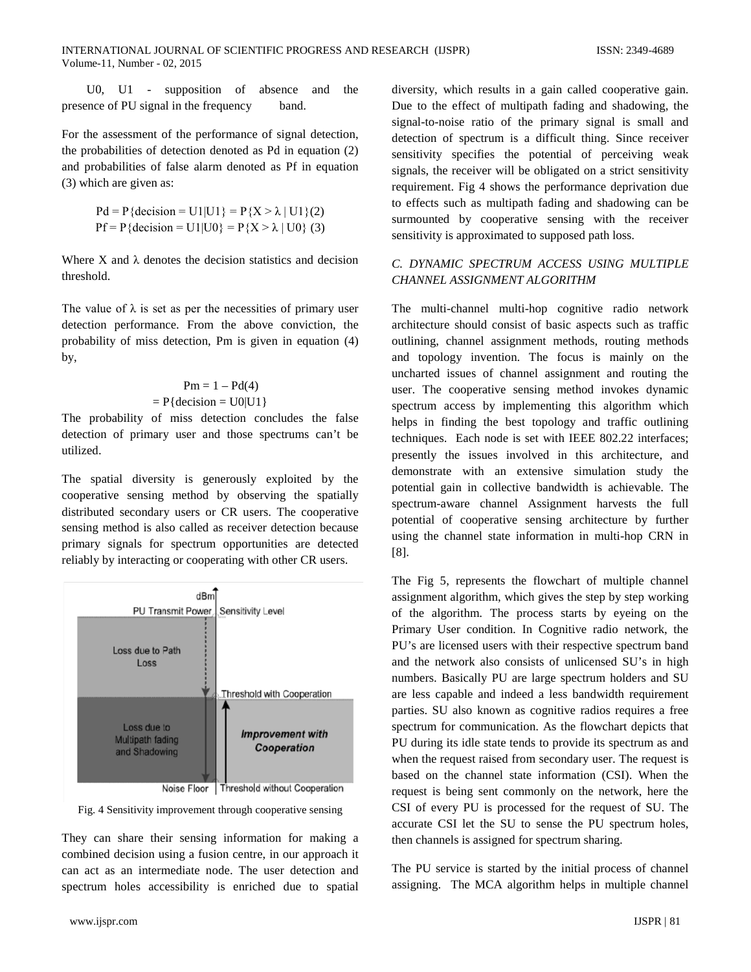U0, U1 - supposition of absence and the presence of PU signal in the frequency band.

For the assessment of the performance of signal detection, the probabilities of detection denoted as Pd in equation (2) and probabilities of false alarm denoted as Pf in equation (3) which are given as:

$$
Pd = P{decision = U1 | U1} = P{X > \lambda | U1}(2)
$$
  
PF = P{decision = U1 | U0} = P{X > \lambda | U0} (3)

Where  $X$  and  $\lambda$  denotes the decision statistics and decision threshold.

The value of  $\lambda$  is set as per the necessities of primary user detection performance. From the above conviction, the probability of miss detection, Pm is given in equation (4) by,

# $Pm = 1 - Pd(4)$  $= P{decision = U0|U1}$

The probability of miss detection concludes the false detection of primary user and those spectrums can't be utilized.

The spatial diversity is generously exploited by the cooperative sensing method by observing the spatially distributed secondary users or CR users. The cooperative sensing method is also called as receiver detection because primary signals for spectrum opportunities are detected reliably by interacting or cooperating with other CR users.



Fig. 4 Sensitivity improvement through cooperative sensing

They can share their sensing information for making a combined decision using a fusion centre, in our approach it can act as an intermediate node. The user detection and spectrum holes accessibility is enriched due to spatial

diversity, which results in a gain called cooperative gain. Due to the effect of multipath fading and shadowing, the signal-to-noise ratio of the primary signal is small and detection of spectrum is a difficult thing. Since receiver sensitivity specifies the potential of perceiving weak signals, the receiver will be obligated on a strict sensitivity requirement. Fig 4 shows the performance deprivation due to effects such as multipath fading and shadowing can be surmounted by cooperative sensing with the receiver sensitivity is approximated to supposed path loss.

# *C. DYNAMIC SPECTRUM ACCESS USING MULTIPLE CHANNEL ASSIGNMENT ALGORITHM*

The multi-channel multi-hop cognitive radio network architecture should consist of basic aspects such as traffic outlining, channel assignment methods, routing methods and topology invention. The focus is mainly on the uncharted issues of channel assignment and routing the user. The cooperative sensing method invokes dynamic spectrum access by implementing this algorithm which helps in finding the best topology and traffic outlining techniques. Each node is set with IEEE 802.22 interfaces; presently the issues involved in this architecture, and demonstrate with an extensive simulation study the potential gain in collective bandwidth is achievable. The spectrum-aware channel Assignment harvests the full potential of cooperative sensing architecture by further using the channel state information in multi-hop CRN in [8].

The Fig 5, represents the flowchart of multiple channel assignment algorithm, which gives the step by step working of the algorithm. The process starts by eyeing on the Primary User condition. In Cognitive radio network, the PU's are licensed users with their respective spectrum band and the network also consists of unlicensed SU's in high numbers. Basically PU are large spectrum holders and SU are less capable and indeed a less bandwidth requirement parties. SU also known as cognitive radios requires a free spectrum for communication. As the flowchart depicts that PU during its idle state tends to provide its spectrum as and when the request raised from secondary user. The request is based on the channel state information (CSI). When the request is being sent commonly on the network, here the CSI of every PU is processed for the request of SU. The accurate CSI let the SU to sense the PU spectrum holes, then channels is assigned for spectrum sharing.

The PU service is started by the initial process of channel assigning. The MCA algorithm helps in multiple channel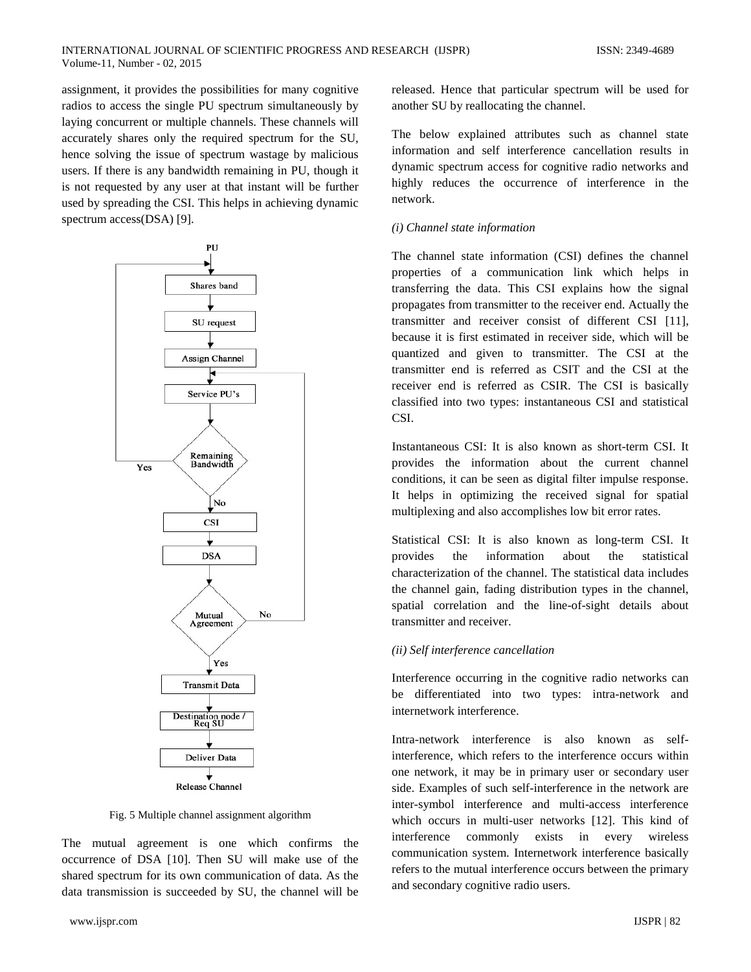assignment, it provides the possibilities for many cognitive radios to access the single PU spectrum simultaneously by laying concurrent or multiple channels. These channels will accurately shares only the required spectrum for the SU, hence solving the issue of spectrum wastage by malicious users. If there is any bandwidth remaining in PU, though it is not requested by any user at that instant will be further used by spreading the CSI. This helps in achieving dynamic spectrum access(DSA) [9].



Fig. 5 Multiple channel assignment algorithm

The mutual agreement is one which confirms the occurrence of DSA [10]. Then SU will make use of the shared spectrum for its own communication of data. As the data transmission is succeeded by SU, the channel will be released. Hence that particular spectrum will be used for another SU by reallocating the channel.

The below explained attributes such as channel state information and self interference cancellation results in dynamic spectrum access for cognitive radio networks and highly reduces the occurrence of interference in the network.

#### *(i) Channel state information*

The channel state information (CSI) defines the channel properties of a communication link which helps in transferring the data. This CSI explains how the signal propagates from transmitter to the receiver end. Actually the transmitter and receiver consist of different CSI [11], because it is first estimated in receiver side, which will be quantized and given to transmitter. The CSI at the transmitter end is referred as CSIT and the CSI at the receiver end is referred as CSIR. The CSI is basically classified into two types: instantaneous CSI and statistical CSI.

Instantaneous CSI: It is also known as short-term CSI. It provides the information about the current channel conditions, it can be seen as digital filter impulse response. It helps in optimizing the received signal for spatial multiplexing and also accomplishes low bit error rates.

Statistical CSI: It is also known as long-term CSI. It provides the information about the statistical characterization of the channel. The statistical data includes the channel gain, fading distribution types in the channel, spatial correlation and the line-of-sight details about transmitter and receiver.

#### *(ii) Self interference cancellation*

Interference occurring in the cognitive radio networks can be differentiated into two types: intra-network and internetwork interference.

Intra-network interference is also known as selfinterference, which refers to the interference occurs within one network, it may be in primary user or secondary user side. Examples of such self-interference in the network are inter-symbol interference and multi-access interference which occurs in multi-user networks [12]. This kind of interference commonly exists in every wireless communication system. Internetwork interference basically refers to the mutual interference occurs between the primary and secondary cognitive radio users.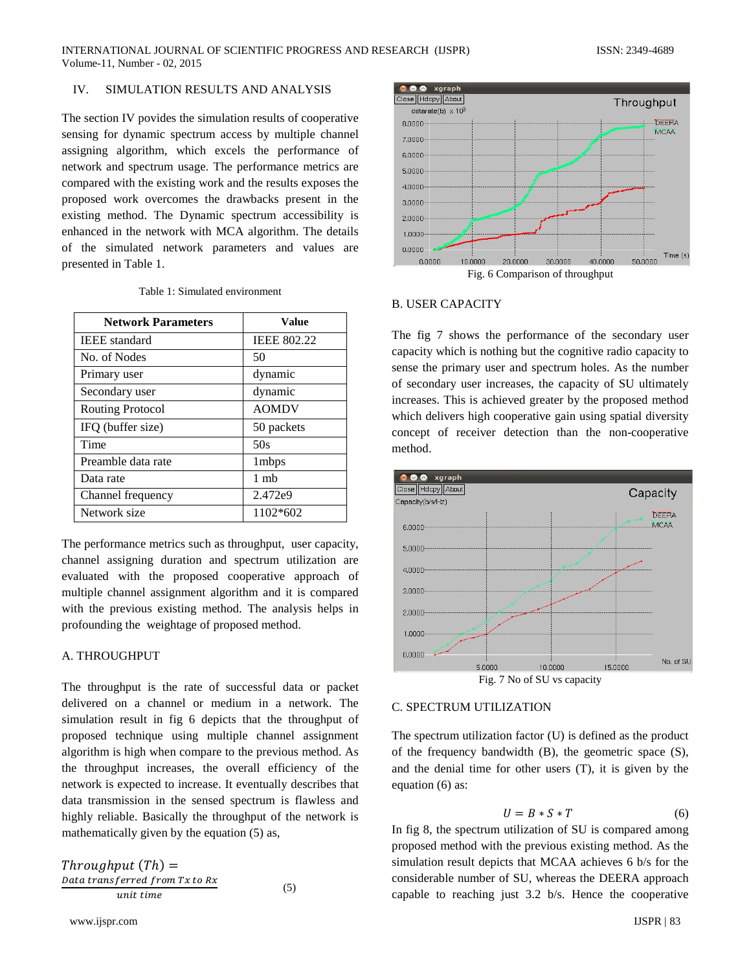## IV. SIMULATION RESULTS AND ANALYSIS

The section IV povides the simulation results of cooperative sensing for dynamic spectrum access by multiple channel assigning algorithm, which excels the performance of network and spectrum usage. The performance metrics are compared with the existing work and the results exposes the proposed work overcomes the drawbacks present in the existing method. The Dynamic spectrum accessibility is enhanced in the network with MCA algorithm. The details of the simulated network parameters and values are presented in Table 1.

| <b>Network Parameters</b> | <b>Value</b>       |
|---------------------------|--------------------|
| <b>IEEE</b> standard      | <b>IEEE 802.22</b> |
| No. of Nodes              | 50                 |
| Primary user              | dynamic            |
| Secondary user            | dynamic            |
| <b>Routing Protocol</b>   | <b>AOMDV</b>       |
| IFQ (buffer size)         | 50 packets         |
| Time                      | 50s                |
| Preamble data rate        | 1 <sub>mbps</sub>  |
| Data rate                 | 1 <sub>m</sub> b   |
| Channel frequency         | 2.472e9            |
| Network size              | 1102*602           |

The performance metrics such as throughput, user capacity, channel assigning duration and spectrum utilization are evaluated with the proposed cooperative approach of multiple channel assignment algorithm and it is compared with the previous existing method. The analysis helps in profounding the weightage of proposed method.

## A. THROUGHPUT

The throughput is the rate of successful data or packet delivered on a channel or medium in a network. The simulation result in fig 6 depicts that the throughput of proposed technique using multiple channel assignment algorithm is high when compare to the previous method. As the throughput increases, the overall efficiency of the network is expected to increase. It eventually describes that data transmission in the sensed spectrum is flawless and highly reliable. Basically the throughput of the network is mathematically given by the equation (5) as,

 $Throughout Th) =$ Data transferred from Tx to Rx (5)



#### B. USER CAPACITY

The fig 7 shows the performance of the secondary user capacity which is nothing but the cognitive radio capacity to sense the primary user and spectrum holes. As the number of secondary user increases, the capacity of SU ultimately increases. This is achieved greater by the proposed method which delivers high cooperative gain using spatial diversity concept of receiver detection than the non-cooperative method.



Fig. 7 No of SU vs capacity

#### C. SPECTRUM UTILIZATION

The spectrum utilization factor (U) is defined as the product of the frequency bandwidth (B), the geometric space (S), and the denial time for other users (T), it is given by the equation (6) as:

$$
U = B * S * T \tag{6}
$$

In fig 8, the spectrum utilization of SU is compared among proposed method with the previous existing method. As the simulation result depicts that MCAA achieves 6 b/s for the considerable number of SU, whereas the DEERA approach capable to reaching just 3.2 b/s. Hence the cooperative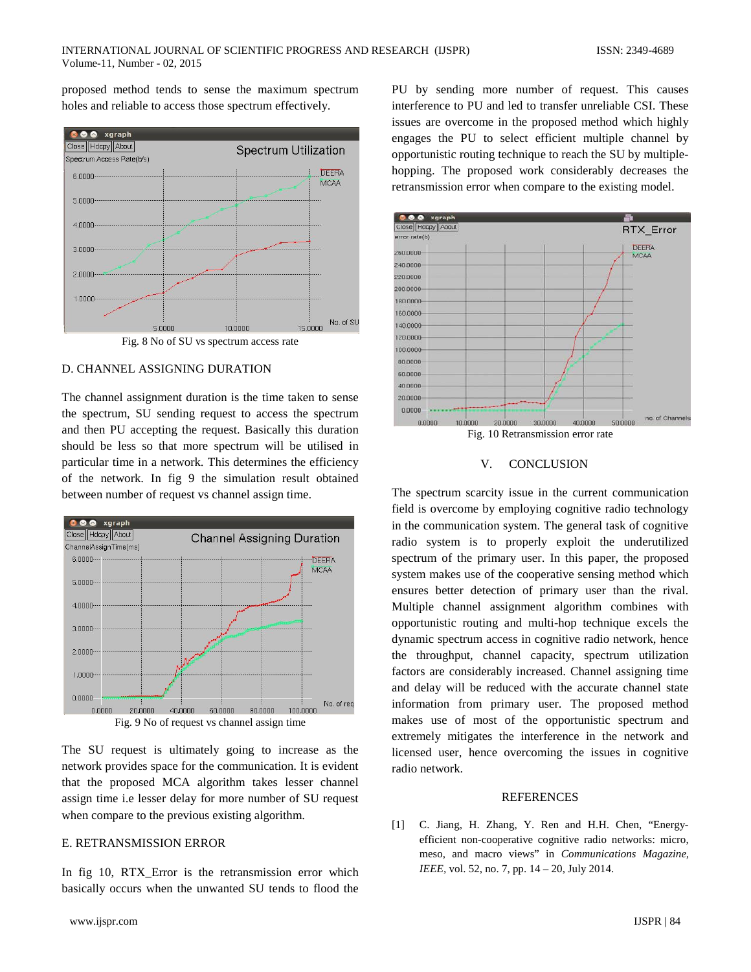proposed method tends to sense the maximum spectrum holes and reliable to access those spectrum effectively.



#### D. CHANNEL ASSIGNING DURATION

The channel assignment duration is the time taken to sense the spectrum, SU sending request to access the spectrum and then PU accepting the request. Basically this duration should be less so that more spectrum will be utilised in particular time in a network. This determines the efficiency of the network. In fig 9 the simulation result obtained between number of request vs channel assign time.



The SU request is ultimately going to increase as the network provides space for the communication. It is evident that the proposed MCA algorithm takes lesser channel assign time i.e lesser delay for more number of SU request when compare to the previous existing algorithm.

## E. RETRANSMISSION ERROR

In fig 10, RTX Error is the retransmission error which basically occurs when the unwanted SU tends to flood the

PU by sending more number of request. This causes interference to PU and led to transfer unreliable CSI. These issues are overcome in the proposed method which highly engages the PU to select efficient multiple channel by opportunistic routing technique to reach the SU by multiplehopping. The proposed work considerably decreases the retransmission error when compare to the existing model.



#### V. CONCLUSION

The spectrum scarcity issue in the current communication field is overcome by employing cognitive radio technology in the communication system. The general task of cognitive radio system is to properly exploit the underutilized spectrum of the primary user. In this paper, the proposed system makes use of the cooperative sensing method which ensures better detection of primary user than the rival. Multiple channel assignment algorithm combines with opportunistic routing and multi-hop technique excels the dynamic spectrum access in cognitive radio network, hence the throughput, channel capacity, spectrum utilization factors are considerably increased. Channel assigning time and delay will be reduced with the accurate channel state information from primary user. The proposed method makes use of most of the opportunistic spectrum and extremely mitigates the interference in the network and licensed user, hence overcoming the issues in cognitive radio network.

#### **REFERENCES**

[1] C. Jiang, H. Zhang, Y. Ren and H.H. Chen, "Energyefficient non-cooperative cognitive radio networks: micro, meso, and macro views" in *Communications Magazine, IEEE,* vol. 52, no. 7, pp. 14 – 20, July 2014.